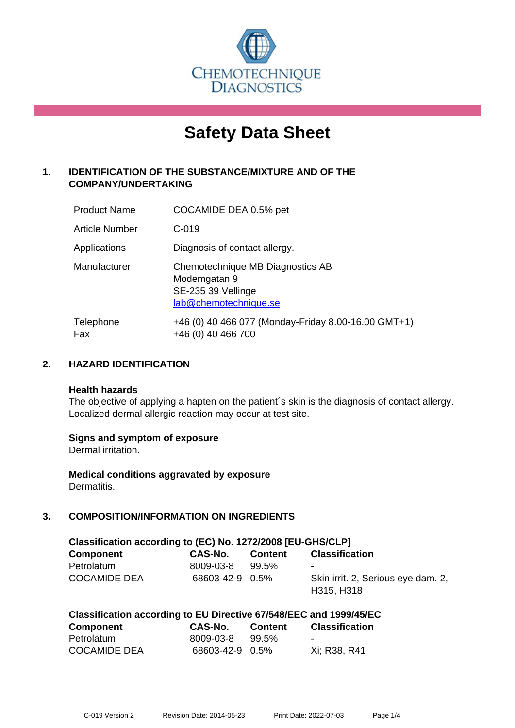

# **Safety Data Sheet**

# **1. IDENTIFICATION OF THE SUBSTANCE/MIXTURE AND OF THE COMPANY/UNDERTAKING**

| <b>Product Name</b> | COCAMIDE DEA 0.5% pet                                                                           |
|---------------------|-------------------------------------------------------------------------------------------------|
| Article Number      | $C-019$                                                                                         |
| Applications        | Diagnosis of contact allergy.                                                                   |
| Manufacturer        | Chemotechnique MB Diagnostics AB<br>Modemgatan 9<br>SE-235 39 Vellinge<br>lab@chemotechnique.se |
| Telephone<br>Fax    | +46 (0) 40 466 077 (Monday-Friday 8.00-16.00 GMT+1)<br>+46 (0) 40 466 700                       |

## **2. HAZARD IDENTIFICATION**

#### **Health hazards**

The objective of applying a hapten on the patient's skin is the diagnosis of contact allergy. Localized dermal allergic reaction may occur at test site.

## **Signs and symptom of exposure**

Dermal irritation.

**Medical conditions aggravated by exposure** Dermatitis.

# **3. COMPOSITION/INFORMATION ON INGREDIENTS**

| Classification according to (EC) No. 1272/2008 [EU-GHS/CLP] |                 |         |                                    |  |  |
|-------------------------------------------------------------|-----------------|---------|------------------------------------|--|--|
| Component                                                   | CAS-No.         | Content | <b>Classification</b>              |  |  |
| Petrolatum                                                  | 8009-03-8       | 99.5%   | $\overline{\phantom{0}}$           |  |  |
| <b>COCAMIDE DEA</b>                                         | 68603-42-9 0.5% |         | Skin irrit. 2, Serious eye dam. 2, |  |  |
|                                                             |                 |         | H315, H318                         |  |  |

| Classification according to EU Directive 67/548/EEC and 1999/45/EC |                 |                |                          |  |
|--------------------------------------------------------------------|-----------------|----------------|--------------------------|--|
| Component                                                          | CAS-No.         | <b>Content</b> | <b>Classification</b>    |  |
| Petrolatum                                                         | 8009-03-8       | 99.5%          | $\overline{\phantom{0}}$ |  |
| <b>COCAMIDE DEA</b>                                                | 68603-42-9 0.5% |                | Xi; R38, R41             |  |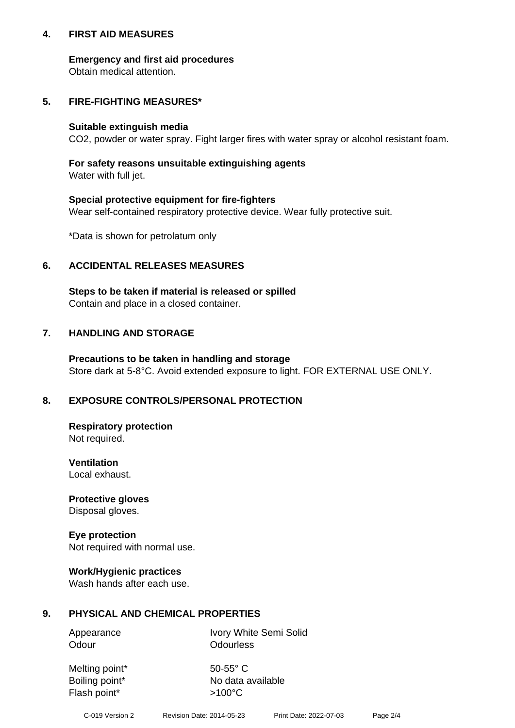## **4. FIRST AID MEASURES**

## **Emergency and first aid procedures**

Obtain medical attention.

# **5. FIRE-FIGHTING MEASURES\***

#### **Suitable extinguish media**

CO2, powder or water spray. Fight larger fires with water spray or alcohol resistant foam.

# **For safety reasons unsuitable extinguishing agents**

Water with full jet.

## **Special protective equipment for fire-fighters**

Wear self-contained respiratory protective device. Wear fully protective suit.

\*Data is shown for petrolatum only

## **6. ACCIDENTAL RELEASES MEASURES**

**Steps to be taken if material is released or spilled** Contain and place in a closed container.

## **7. HANDLING AND STORAGE**

**Precautions to be taken in handling and storage** Store dark at 5-8°C. Avoid extended exposure to light. FOR EXTERNAL USE ONLY.

# **8. EXPOSURE CONTROLS/PERSONAL PROTECTION**

**Respiratory protection** Not required.

**Ventilation** Local exhaust.

**Protective gloves** Disposal gloves.

#### **Eye protection** Not required with normal use.

## **Work/Hygienic practices**

Wash hands after each use.

## **9. PHYSICAL AND CHEMICAL PROPERTIES**

Odour **Odourless** 

Appearance Ivory White Semi Solid

Melting point\* 50-55° C Flash point\*  $>100^{\circ}$ C

Boiling point\* No data available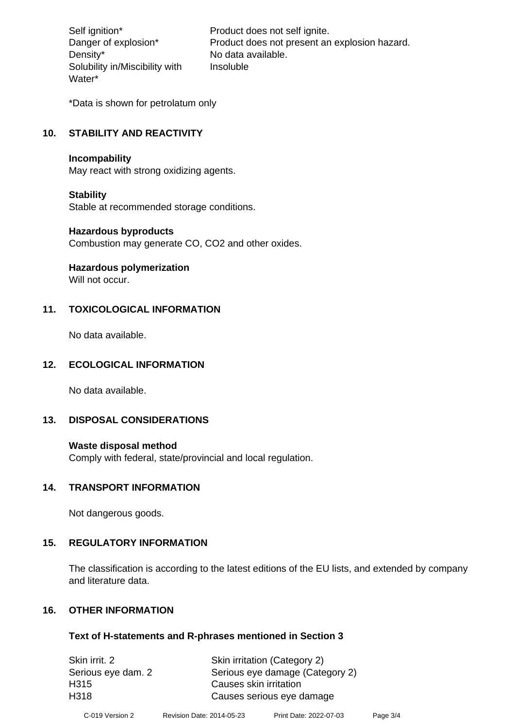Density\* No data available. Solubility in/Miscibility with Water\*

Self ignition\* Product does not self ignite. Danger of explosion\* Product does not present an explosion hazard. Insoluble

\*Data is shown for petrolatum only

# **10. STABILITY AND REACTIVITY**

#### **Incompability**

May react with strong oxidizing agents.

#### **Stability**

Stable at recommended storage conditions.

## **Hazardous byproducts**

Combustion may generate CO, CO2 and other oxides.

**Hazardous polymerization**

Will not occur.

## **11. TOXICOLOGICAL INFORMATION**

No data available.

## **12. ECOLOGICAL INFORMATION**

No data available.

## **13. DISPOSAL CONSIDERATIONS**

#### **Waste disposal method**

Comply with federal, state/provincial and local regulation.

#### **14. TRANSPORT INFORMATION**

Not dangerous goods.

## **15. REGULATORY INFORMATION**

The classification is according to the latest editions of the EU lists, and extended by company and literature data.

## **16. OTHER INFORMATION**

#### **Text of H-statements and R-phrases mentioned in Section 3**

| Skin irrit. 2      | Skin irritation (Category 2)    |
|--------------------|---------------------------------|
| Serious eye dam. 2 | Serious eye damage (Category 2) |
| H <sub>315</sub>   | Causes skin irritation          |
| H <sub>318</sub>   | Causes serious eye damage       |